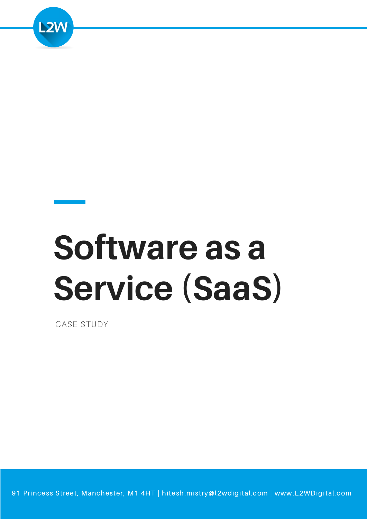

# **Software as a Service (SaaS)**

CASE STUDY

91 Princess Street, Manchester, M1 4HT | hitesh.mistry@l2wdigital.com | www.L2WDigital.com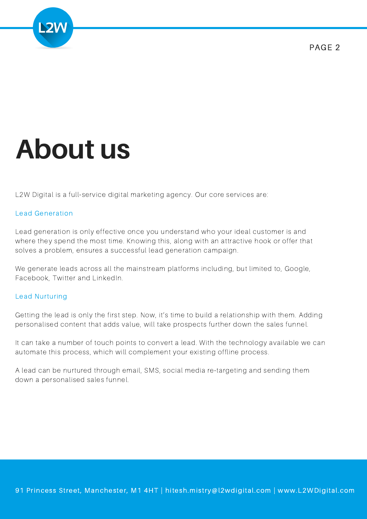

## **About us**

L2W Digital is a full-service digital marketing agency. Our core services are:

#### Lead Generation

Lead generation is only effective once you understand who your ideal customer is and where they spend the most time. Knowing this, along with an attractive hook or offer that solves a problem, ensures a successful lead generation campaign.

We generate leads across all the mainstream platforms including, but limited to, Google, Facebook, Twitter and LinkedIn.

#### Lead Nurturing

Getting the lead is only the first step. Now, it's time to build a relationship with them. Adding personalised content that adds value, will take prospects further down the sales funnel.

It can take a number of touch points to convert a lead. With the technology available we can automate this process, which will complement your existing offline process.

A lead can be nurtured through email, SMS, social media re-targeting and sending them down a personalised sales funnel.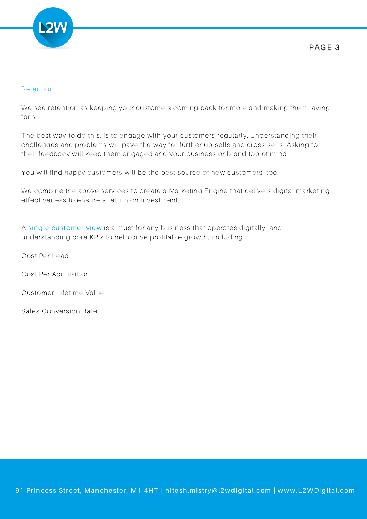

#### Retention

We see retention as keeping your customers coming back for more and making them raving fans.

The best way to do this, is to engage with your customers regularly. Understanding their challenges and problems will pave the way for further up-sells and cross-sells. Asking for their feedback will keep them engaged and your business or brand top of mind.

You will find happy customers will be the best source of new customers, too.

We combine the above services to create a Marketing Engine that delivers digital marketing effectiveness to ensure a return on investment.

A single customer view is a must for any business that operates digitally, and understanding core KPIs to help drive profitable growth, including:

Cost Per Lead

Cost Per Acquisition

Customer Lifetime Value

Sales Conversion Rate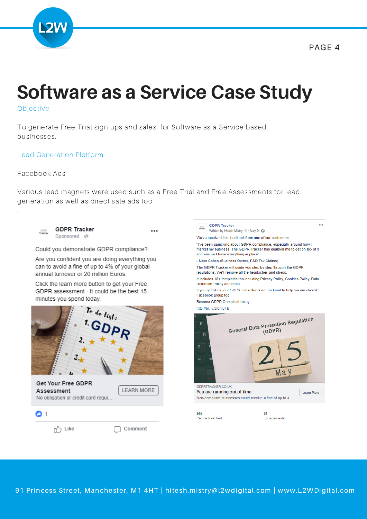

### **Software as a Service Case Study**

Objective

To generate Free Trial sign ups and sales for Software as a Service based businesses.

#### Lead Generation Platform

#### Facebook Ads

.

Various lead magnets were used such as a Free Trial and Free Assessments for lead generation as well as direct sale ads too.

...

**GDPR Tracker** COPS.<br>Tracker Sponsored · @

Could you demonstrate GDPR compliance?

Are you confident you are doing everything you can to avoid a fine of up to 4% of your global annual turnover or 20 million Euros.

Click the learn more button to get your Free GDPR assessment - It could be the best 15 minutes you spend today.



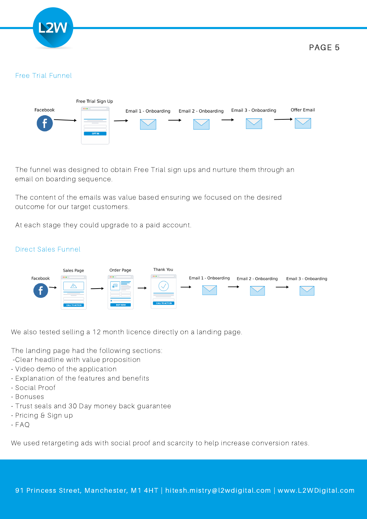

#### Free Trial Funnel



The funnel was designed to obtain Free Trial sign ups and nurture them through an email on boarding sequence.

The content of the emails was value based ensuring we focused on the desired outcome for our target customers.

At each stage they could upgrade to a paid account.



#### Direct Sales Funnel

We also tested selling a 12 month licence directly on a landing page.

The landing page had the following sections:

- -Clear headline with value proposition
- Video demo of the application
- Explanation of the features and benefits
- Social Proof
- Bonuses
- Trust seals and 30 Day money back guarantee
- Pricing & Sign up
- $-FAO$

We used retargeting ads with social proof and scarcity to help increase conversion rates.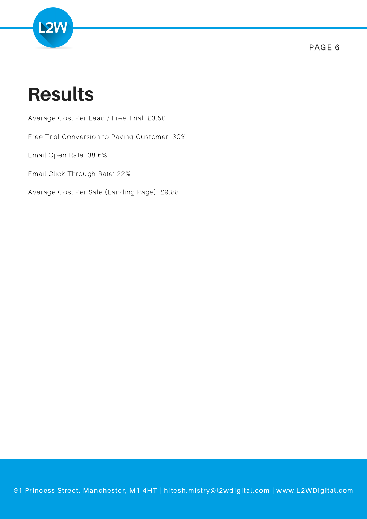

### **Results**

Average Cost Per Lead / Free Trial: £3.50

Free Trial Conversion to Paying Customer: 30%

Email Open Rate: 38.6%

Email Click Through Rate: 22%

Average Cost Per Sale (Landing Page): £9.88